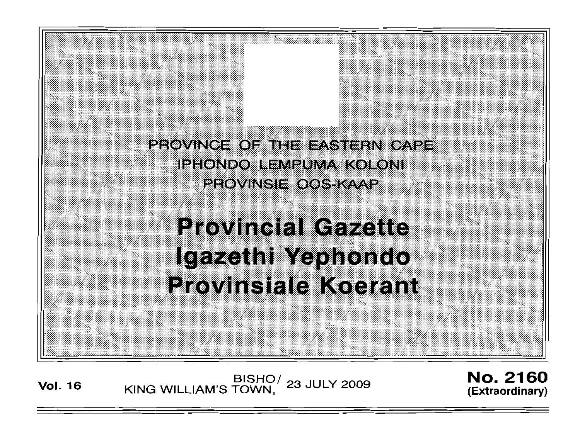

**Vol. <sup>16</sup>** BISHO/ KING WILLIAM'S TOWN, 23 JULY 2009

**No. 2160** (Extraordinary)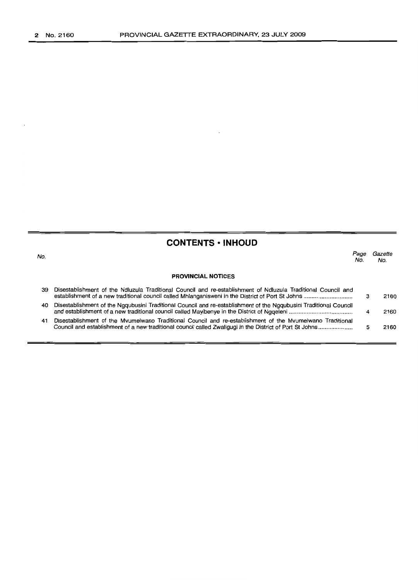$\ddot{\phantom{a}}$ 

| <b>CONTENTS • INHOUD</b> |                                                                                                                                                                                                                       |             |                |
|--------------------------|-----------------------------------------------------------------------------------------------------------------------------------------------------------------------------------------------------------------------|-------------|----------------|
| No.                      |                                                                                                                                                                                                                       | Page<br>No. | Gazette<br>No. |
|                          | <b>PROVINCIAL NOTICES</b>                                                                                                                                                                                             |             |                |
| 39.                      | Disestablishment of the Ndluzula Traditional Council and re-establishment of Ndluzula Traditional Council and                                                                                                         |             | 2160           |
| 40                       | Disestablishment of the Ngqubusini Traditional Council and re-establishment of the Ngqubusini Traditional Council                                                                                                     | 4           | 2160           |
| 41                       | Disestablishment of the Myumelwano Traditional Council and re-establishment of the Myumelwano Traditional<br>Council and establishment of a new traditional council called Zwaliqugi in the District of Port St Johns | 5           | 2160           |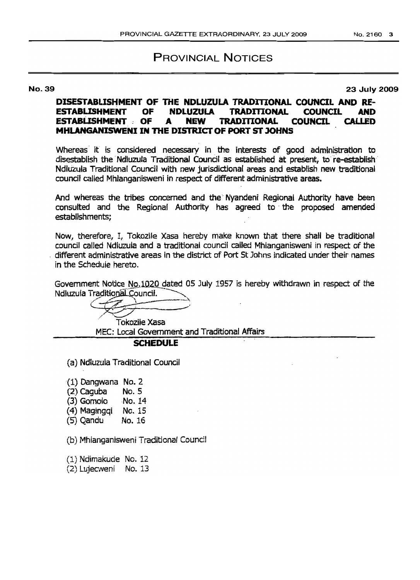# PROVINCIAL NOTICES

No. 39 23 July 2009

### **DISESTABLISHMENT OF THE NDLUZULA TRADmONAL COUNCIL AND 1£- ESTABUSHMENT OF NDLUZULA TRADITIONAL COUNCIL AND ESTABLISHMENT** OF A **NEW TRADITIONAL COUNCIL CALLED MHLANGANISWENI IN THE DISTRICT OF PORT ST JOHNS**

Whereas it is considered necessary in the interests of good administration to disestablish the Ndluzula Traditional Council as established at present, to re-establish Ndluzula Traditional Council with new jurisdictional areas and establish new traditional council called Mhlanganisweni in respect of different administrative areas.

And whereas the tribes concerned and the Nyandeni Regional Authority have been consulted and the Regional Authority has agreed to' the proposed amended establishments;

Now, therefore, *It* Tokozile Xasa hereby make known that there shall be traditional council called Ndluzula and a traditional council called Mhlanganisweni in respect of the , different administrative areas in the district of Port St Johns indicated under their names in the Schedule hereto.

Government Notice No.1020 dated 05 July 1957 is hereby withdrawn in respect of the Ndluzula Traditional Council.

Tokozile Xasa MEC: Local Government and Traditional Affairs

## **SCHEDULE**

(a) Ndluzuia Traditional Council

(1) Dangwana No.2

- (2) Caguba No. 5
- 
- (3) Gomolo No. 14<br>(4) Maginggi No. 15 (4) Magingqi
- $(5)$  Qandu No. 16

(b) Mhlanganisweni Traditional Council

(1) Ndimakucie No. 12

(2) LUjecweni No. 13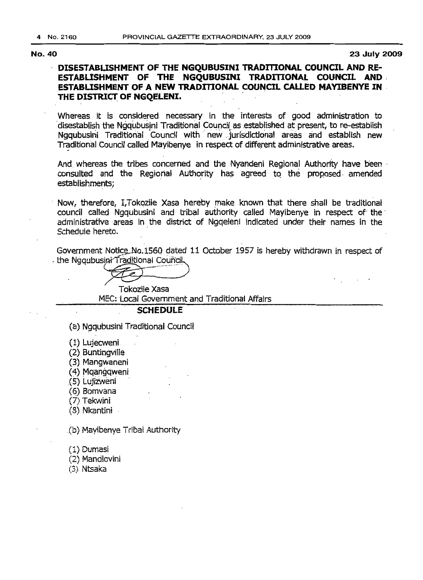No. 40 23 July 2009

# DISESTABLISHMENT OF THE NGOUBUSINI TRADITIONAL COUNCIL AND RE-ESTABUSHMENT OF THE NGQUBUSINI TRADITIONAL COUNCIL AND. ESTABLISHMENT OF A NEW TRADITIONAL COUNCIL CALLED MAYIBENYE IN . DISESTABLISHMENT OF THE NGQUBUSINI<br>ESTABLISHMENT OF THE NGQUBUSINI<br>ESTABLISHMENT OF A NEW TRADITIONAL<br>THE DISTRICT OF NGQELENI.

Whereas it is considered necessary in the interests of good administration to .dlsestabllsh the Ngqubusjni Traditional Councilas established at present, to re-establish Ngqubusini Traditional Council with new jurisdictional areas and establish new Traditional Council called Mayibenye in respect of different administrative areas.

And whereas the tribes concerned and the Nyandeni Regional Authority have been . consulted and the Regional Authority has agreed to the proposed amended establishments;

Now, therefore, I,Tokozile Xasa hereby make known that there shall be traditional council called Ngqubusini and tribal authority called Mayibenye in respect of the administrative areas in the district of Ngqeleni indicated under their names in the Schedule hereto.

Government Notice No.1560 dated 11 October 1957 is hereby withdrawn in respect of . the Ngqubusini Traditional Council

Tokozlle Xasa

MEC: Local Govemment and Traditional Affairs

#### SCHEDULE

(a) Ngqubusini Traditional Council

- (1) Lujecweni
- (2) Buntingville
- (3) Mangwaneni
- (4) Mqangqweni
- (5) Lujizweni
- (6) Bomvana
- (7) Tekwini
- (8) Nkantini

(b) Mayibenye Tribal Authority

(1) Dumasi

(2) Mandlovini

(3). Ntsaka